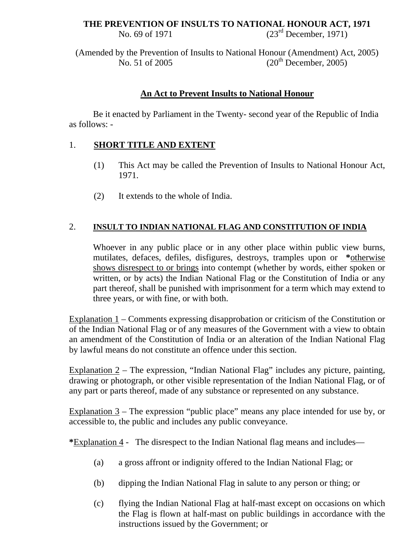### **THE PREVENTION OF INSULTS TO NATIONAL HONOUR ACT, 1971**

No. 69 of 1971 (23<sup>rd</sup> December, 1971)

(Amended by the Prevention of Insults to National Honour (Amendment) Act, 2005) No. 51 of 2005 (20<sup>th</sup> December, 2005)

# **An Act to Prevent Insults to National Honour**

Be it enacted by Parliament in the Twenty- second year of the Republic of India as follows: -

### 1. **SHORT TITLE AND EXTENT**

- (1) This Act may be called the Prevention of Insults to National Honour Act, 1971.
- (2) It extends to the whole of India.

## 2. **INSULT TO INDIAN NATIONAL FLAG AND CONSTITUTION OF INDIA**

Whoever in any public place or in any other place within public view burns, mutilates, defaces, defiles, disfigures, destroys, tramples upon or **\***otherwise shows disrespect to or brings into contempt (whether by words, either spoken or written, or by acts) the Indian National Flag or the Constitution of India or any part thereof, shall be punished with imprisonment for a term which may extend to three years, or with fine, or with both.

Explanation  $1$  – Comments expressing disapprobation or criticism of the Constitution or of the Indian National Flag or of any measures of the Government with a view to obtain an amendment of the Constitution of India or an alteration of the Indian National Flag by lawful means do not constitute an offence under this section.

Explanation 2 – The expression, "Indian National Flag" includes any picture, painting, drawing or photograph, or other visible representation of the Indian National Flag, or of any part or parts thereof, made of any substance or represented on any substance.

Explanation 3 – The expression "public place" means any place intended for use by, or accessible to, the public and includes any public conveyance.

**\***Explanation 4 - The disrespect to the Indian National flag means and includes—

- (a) a gross affront or indignity offered to the Indian National Flag; or
- (b) dipping the Indian National Flag in salute to any person or thing; or
- (c) flying the Indian National Flag at half-mast except on occasions on which the Flag is flown at half-mast on public buildings in accordance with the instructions issued by the Government; or